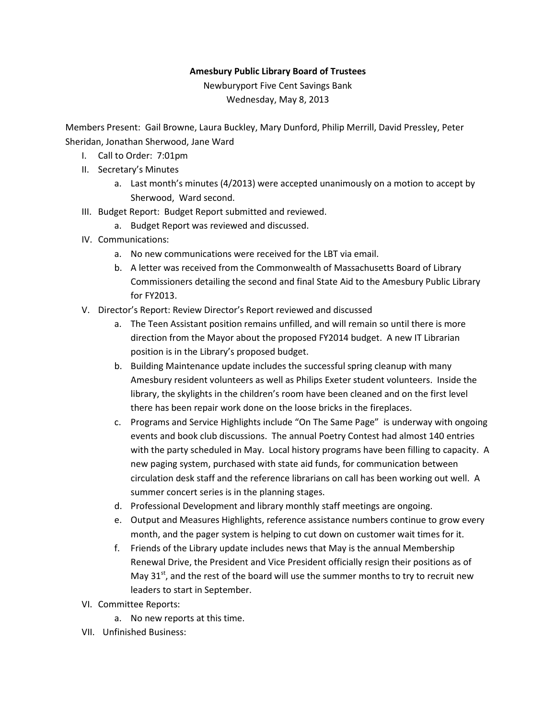## Amesbury Public Library Board of Trustees

Newburyport Five Cent Savings Bank Wednesday, May 8, 2013

Members Present: Gail Browne, Laura Buckley, Mary Dunford, Philip Merrill, David Pressley, Peter Sheridan, Jonathan Sherwood, Jane Ward

- I. Call to Order: 7:01pm
- II. Secretary's Minutes
	- a. Last month's minutes (4/2013) were accepted unanimously on a motion to accept by Sherwood, Ward second.
- III. Budget Report: Budget Report submitted and reviewed.
	- a. Budget Report was reviewed and discussed.
- IV. Communications:
	- a. No new communications were received for the LBT via email.
	- b. A letter was received from the Commonwealth of Massachusetts Board of Library Commissioners detailing the second and final State Aid to the Amesbury Public Library for FY2013.
- V. Director's Report: Review Director's Report reviewed and discussed
	- a. The Teen Assistant position remains unfilled, and will remain so until there is more direction from the Mayor about the proposed FY2014 budget. A new IT Librarian position is in the Library's proposed budget.
	- b. Building Maintenance update includes the successful spring cleanup with many Amesbury resident volunteers as well as Philips Exeter student volunteers. Inside the library, the skylights in the children's room have been cleaned and on the first level there has been repair work done on the loose bricks in the fireplaces.
	- c. Programs and Service Highlights include "On The Same Page" is underway with ongoing events and book club discussions. The annual Poetry Contest had almost 140 entries with the party scheduled in May. Local history programs have been filling to capacity. A new paging system, purchased with state aid funds, for communication between circulation desk staff and the reference librarians on call has been working out well. A summer concert series is in the planning stages.
	- d. Professional Development and library monthly staff meetings are ongoing.
	- e. Output and Measures Highlights, reference assistance numbers continue to grow every month, and the pager system is helping to cut down on customer wait times for it.
	- f. Friends of the Library update includes news that May is the annual Membership Renewal Drive, the President and Vice President officially resign their positions as of May  $31<sup>st</sup>$ , and the rest of the board will use the summer months to try to recruit new leaders to start in September.
- VI. Committee Reports:
	- a. No new reports at this time.
- VII. Unfinished Business: